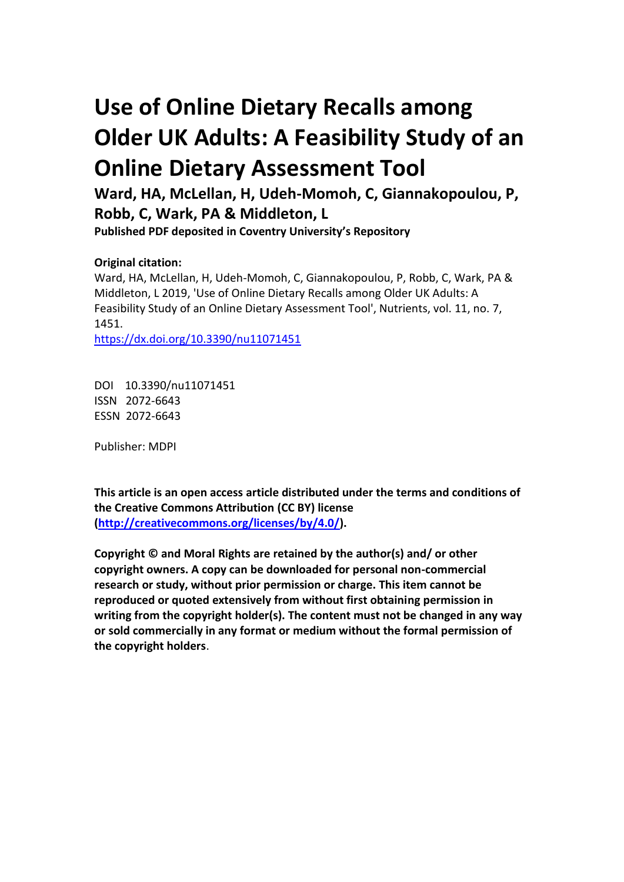# **Use of Online Dietary Recalls among Older UK Adults: A Feasibility Study of an Online Dietary Assessment Tool**

**Ward, HA, McLellan, H, Udeh-Momoh, C, Giannakopoulou, P, Robb, C, Wark, PA & Middleton, L**

**Published PDF deposited in Coventry University's Repository** 

### **Original citation:**

Ward, HA, McLellan, H, Udeh-Momoh, C, Giannakopoulou, P, Robb, C, Wark, PA & Middleton, L 2019, 'Use of Online Dietary Recalls among Older UK Adults: A Feasibility Study of an Online Dietary Assessment Tool', Nutrients, vol. 11, no. 7, 1451.

https://dx.doi.org/10.3390/nu11071451

DOI 10.3390/nu11071451 ISSN 2072-6643 ESSN 2072-6643

Publisher: MDPI

**This article is an open access article distributed under the terms and conditions of the Creative Commons Attribution (CC BY) license [\(http://creativecommons.org/licenses/by/4.0/\)](http://creativecommons.org/licenses/by/4.0/).**

**Copyright © and Moral Rights are retained by the author(s) and/ or other copyright owners. A copy can be downloaded for personal non-commercial research or study, without prior permission or charge. This item cannot be reproduced or quoted extensively from without first obtaining permission in writing from the copyright holder(s). The content must not be changed in any way or sold commercially in any format or medium without the formal permission of the copyright holders**.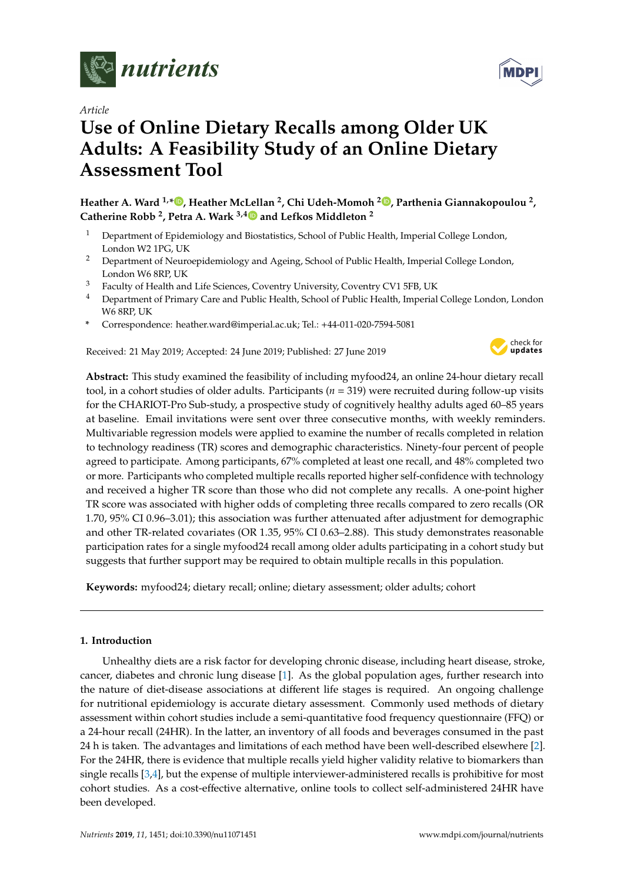

*Article*

## **Use of Online Dietary Recalls among Older UK Adults: A Feasibility Study of an Online Dietary Assessment Tool**

**Heather A. Ward 1,[\\*](https://orcid.org/0000-0002-2721-2404) , Heather McLellan <sup>2</sup> , Chi Udeh-Momoh <sup>2</sup> [,](https://orcid.org/0000-0002-7357-4692) Parthenia Giannakopoulou <sup>2</sup> , Catherine Robb <sup>2</sup> , Petra A. Wark 3,[4](https://orcid.org/0000-0003-1020-4640) and Lefkos Middleton <sup>2</sup>**

- <sup>1</sup> Department of Epidemiology and Biostatistics, School of Public Health, Imperial College London, London W2 1PG, UK
- <sup>2</sup> Department of Neuroepidemiology and Ageing, School of Public Health, Imperial College London, London W6 8RP, UK
- <sup>3</sup> Faculty of Health and Life Sciences, Coventry University, Coventry CV1 5FB, UK
- <sup>4</sup> Department of Primary Care and Public Health, School of Public Health, Imperial College London, London W6 8RP, UK
- **\*** Correspondence: heather.ward@imperial.ac.uk; Tel.: +44-011-020-7594-5081

Received: 21 May 2019; Accepted: 24 June 2019; Published: 27 June 2019



**Abstract:** This study examined the feasibility of including myfood24, an online 24-hour dietary recall tool, in a cohort studies of older adults. Participants (*n* = 319) were recruited during follow-up visits for the CHARIOT-Pro Sub-study, a prospective study of cognitively healthy adults aged 60–85 years at baseline. Email invitations were sent over three consecutive months, with weekly reminders. Multivariable regression models were applied to examine the number of recalls completed in relation to technology readiness (TR) scores and demographic characteristics. Ninety-four percent of people agreed to participate. Among participants, 67% completed at least one recall, and 48% completed two or more. Participants who completed multiple recalls reported higher self-confidence with technology and received a higher TR score than those who did not complete any recalls. A one-point higher TR score was associated with higher odds of completing three recalls compared to zero recalls (OR 1.70, 95% CI 0.96–3.01); this association was further attenuated after adjustment for demographic and other TR-related covariates (OR 1.35, 95% CI 0.63–2.88). This study demonstrates reasonable participation rates for a single myfood24 recall among older adults participating in a cohort study but suggests that further support may be required to obtain multiple recalls in this population.

**Keywords:** myfood24; dietary recall; online; dietary assessment; older adults; cohort

#### **1. Introduction**

Unhealthy diets are a risk factor for developing chronic disease, including heart disease, stroke, cancer, diabetes and chronic lung disease [\[1\]](#page-8-0). As the global population ages, further research into the nature of diet-disease associations at different life stages is required. An ongoing challenge for nutritional epidemiology is accurate dietary assessment. Commonly used methods of dietary assessment within cohort studies include a semi-quantitative food frequency questionnaire (FFQ) or a 24-hour recall (24HR). In the latter, an inventory of all foods and beverages consumed in the past 24 h is taken. The advantages and limitations of each method have been well-described elsewhere [\[2\]](#page-8-1). For the 24HR, there is evidence that multiple recalls yield higher validity relative to biomarkers than single recalls [\[3](#page-8-2)[,4\]](#page-8-3), but the expense of multiple interviewer-administered recalls is prohibitive for most cohort studies. As a cost-effective alternative, online tools to collect self-administered 24HR have been developed.

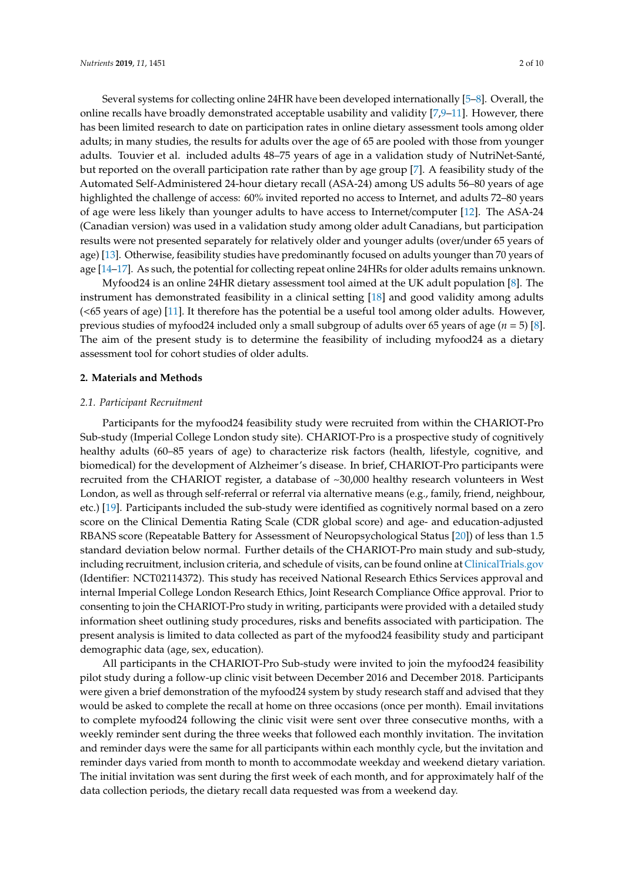Several systems for collecting online 24HR have been developed internationally [\[5](#page-8-4)[–8\]](#page-9-0). Overall, the online recalls have broadly demonstrated acceptable usability and validity [\[7](#page-9-1)[,9–](#page-9-2)[11\]](#page-9-3). However, there has been limited research to date on participation rates in online dietary assessment tools among older adults; in many studies, the results for adults over the age of 65 are pooled with those from younger adults. Touvier et al. included adults 48–75 years of age in a validation study of NutriNet-Santé, but reported on the overall participation rate rather than by age group [\[7\]](#page-9-1). A feasibility study of the Automated Self-Administered 24-hour dietary recall (ASA-24) among US adults 56–80 years of age highlighted the challenge of access: 60% invited reported no access to Internet, and adults 72–80 years of age were less likely than younger adults to have access to Internet/computer [\[12\]](#page-9-4). The ASA-24 (Canadian version) was used in a validation study among older adult Canadians, but participation results were not presented separately for relatively older and younger adults (over/under 65 years of age) [\[13\]](#page-9-5). Otherwise, feasibility studies have predominantly focused on adults younger than 70 years of age [\[14–](#page-9-6)[17\]](#page-9-7). As such, the potential for collecting repeat online 24HRs for older adults remains unknown.

Myfood24 is an online 24HR dietary assessment tool aimed at the UK adult population [\[8\]](#page-9-0). The instrument has demonstrated feasibility in a clinical setting [\[18\]](#page-9-8) and good validity among adults (<65 years of age) [\[11\]](#page-9-3). It therefore has the potential be a useful tool among older adults. However, previous studies of myfood24 included only a small subgroup of adults over 65 years of age (*n* = 5) [\[8\]](#page-9-0). The aim of the present study is to determine the feasibility of including myfood24 as a dietary assessment tool for cohort studies of older adults.

#### **2. Materials and Methods**

#### *2.1. Participant Recruitment*

Participants for the myfood24 feasibility study were recruited from within the CHARIOT-Pro Sub-study (Imperial College London study site). CHARIOT-Pro is a prospective study of cognitively healthy adults (60–85 years of age) to characterize risk factors (health, lifestyle, cognitive, and biomedical) for the development of Alzheimer's disease. In brief, CHARIOT-Pro participants were recruited from the CHARIOT register, a database of ~30,000 healthy research volunteers in West London, as well as through self-referral or referral via alternative means (e.g., family, friend, neighbour, etc.) [\[19\]](#page-9-9). Participants included the sub-study were identified as cognitively normal based on a zero score on the Clinical Dementia Rating Scale (CDR global score) and age- and education-adjusted RBANS score (Repeatable Battery for Assessment of Neuropsychological Status [\[20\]](#page-9-10)) of less than 1.5 standard deviation below normal. Further details of the CHARIOT-Pro main study and sub-study, including recruitment, inclusion criteria, and schedule of visits, can be found online at <ClinicalTrials.gov> (Identifier: NCT02114372). This study has received National Research Ethics Services approval and internal Imperial College London Research Ethics, Joint Research Compliance Office approval. Prior to consenting to join the CHARIOT-Pro study in writing, participants were provided with a detailed study information sheet outlining study procedures, risks and benefits associated with participation. The present analysis is limited to data collected as part of the myfood24 feasibility study and participant demographic data (age, sex, education).

All participants in the CHARIOT-Pro Sub-study were invited to join the myfood24 feasibility pilot study during a follow-up clinic visit between December 2016 and December 2018. Participants were given a brief demonstration of the myfood24 system by study research staff and advised that they would be asked to complete the recall at home on three occasions (once per month). Email invitations to complete myfood24 following the clinic visit were sent over three consecutive months, with a weekly reminder sent during the three weeks that followed each monthly invitation. The invitation and reminder days were the same for all participants within each monthly cycle, but the invitation and reminder days varied from month to month to accommodate weekday and weekend dietary variation. The initial invitation was sent during the first week of each month, and for approximately half of the data collection periods, the dietary recall data requested was from a weekend day.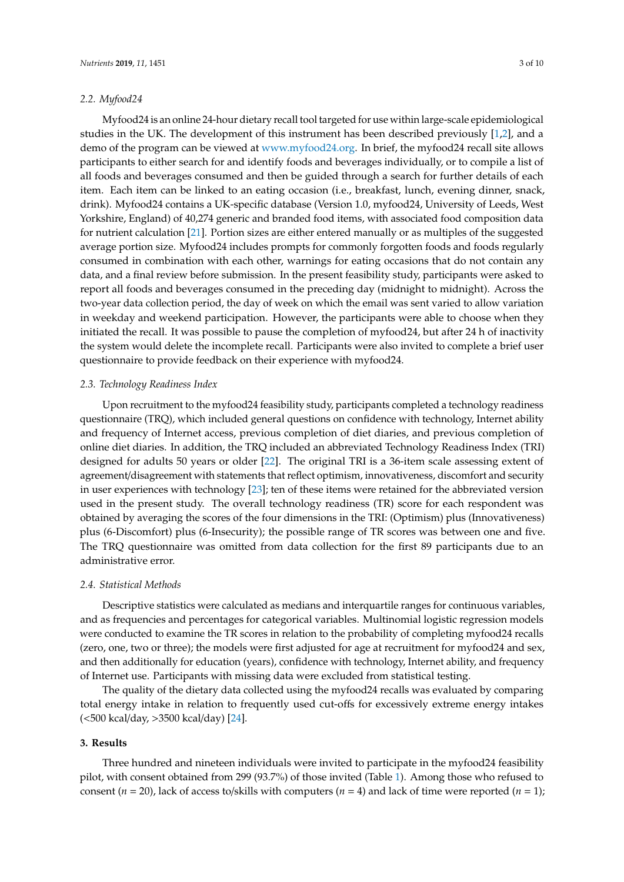#### *2.2. Myfood24*

Myfood24 is an online 24-hour dietary recall tool targeted for use within large-scale epidemiological studies in the UK. The development of this instrument has been described previously [\[1](#page-8-0)[,2\]](#page-8-1), and a demo of the program can be viewed at [www.myfood24.org.](www.myfood24.org) In brief, the myfood24 recall site allows participants to either search for and identify foods and beverages individually, or to compile a list of all foods and beverages consumed and then be guided through a search for further details of each item. Each item can be linked to an eating occasion (i.e., breakfast, lunch, evening dinner, snack, drink). Myfood24 contains a UK-specific database (Version 1.0, myfood24, University of Leeds, West Yorkshire, England) of 40,274 generic and branded food items, with associated food composition data for nutrient calculation [\[21\]](#page-9-11). Portion sizes are either entered manually or as multiples of the suggested average portion size. Myfood24 includes prompts for commonly forgotten foods and foods regularly consumed in combination with each other, warnings for eating occasions that do not contain any data, and a final review before submission. In the present feasibility study, participants were asked to report all foods and beverages consumed in the preceding day (midnight to midnight). Across the two-year data collection period, the day of week on which the email was sent varied to allow variation in weekday and weekend participation. However, the participants were able to choose when they initiated the recall. It was possible to pause the completion of myfood24, but after 24 h of inactivity the system would delete the incomplete recall. Participants were also invited to complete a brief user questionnaire to provide feedback on their experience with myfood24.

#### *2.3. Technology Readiness Index*

Upon recruitment to the myfood24 feasibility study, participants completed a technology readiness questionnaire (TRQ), which included general questions on confidence with technology, Internet ability and frequency of Internet access, previous completion of diet diaries, and previous completion of online diet diaries. In addition, the TRQ included an abbreviated Technology Readiness Index (TRI) designed for adults 50 years or older [\[22\]](#page-9-12). The original TRI is a 36-item scale assessing extent of agreement/disagreement with statements that reflect optimism, innovativeness, discomfort and security in user experiences with technology [\[23\]](#page-9-13); ten of these items were retained for the abbreviated version used in the present study. The overall technology readiness (TR) score for each respondent was obtained by averaging the scores of the four dimensions in the TRI: (Optimism) plus (Innovativeness) plus (6-Discomfort) plus (6-Insecurity); the possible range of TR scores was between one and five. The TRQ questionnaire was omitted from data collection for the first 89 participants due to an administrative error.

#### *2.4. Statistical Methods*

Descriptive statistics were calculated as medians and interquartile ranges for continuous variables, and as frequencies and percentages for categorical variables. Multinomial logistic regression models were conducted to examine the TR scores in relation to the probability of completing myfood24 recalls (zero, one, two or three); the models were first adjusted for age at recruitment for myfood24 and sex, and then additionally for education (years), confidence with technology, Internet ability, and frequency of Internet use. Participants with missing data were excluded from statistical testing.

The quality of the dietary data collected using the myfood24 recalls was evaluated by comparing total energy intake in relation to frequently used cut-offs for excessively extreme energy intakes (<500 kcal/day, >3500 kcal/day) [\[24\]](#page-10-0).

#### **3. Results**

Three hundred and nineteen individuals were invited to participate in the myfood24 feasibility pilot, with consent obtained from 299 (93.7%) of those invited (Table [1\)](#page-4-0). Among those who refused to consent ( $n = 20$ ), lack of access to/skills with computers ( $n = 4$ ) and lack of time were reported ( $n = 1$ );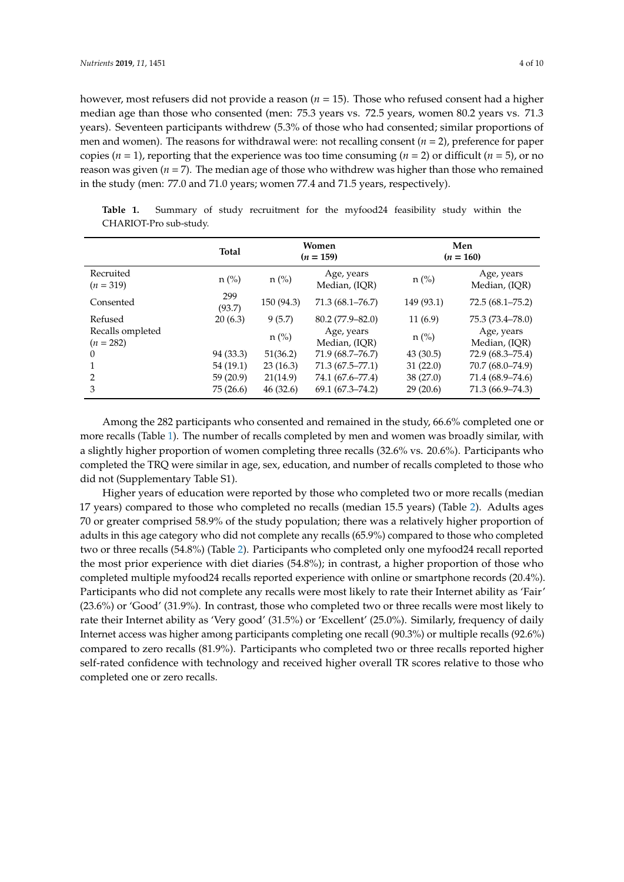however, most refusers did not provide a reason (*n* = 15). Those who refused consent had a higher median age than those who consented (men: 75.3 years vs. 72.5 years, women 80.2 years vs. 71.3 years). Seventeen participants withdrew (5.3% of those who had consented; similar proportions of men and women). The reasons for withdrawal were: not recalling consent (*n* = 2), preference for paper copies ( $n = 1$ ), reporting that the experience was too time consuming ( $n = 2$ ) or difficult ( $n = 5$ ), or no reason was given (*n* = 7). The median age of those who withdrew was higher than those who remained in the study (men: 77.0 and 71.0 years; women 77.4 and 71.5 years, respectively).

|                                 | <b>Total</b>  | Women<br>$(n = 159)$ |                             | Men<br>$(n = 160)$ |                             |
|---------------------------------|---------------|----------------------|-----------------------------|--------------------|-----------------------------|
| Recruited<br>$(n = 319)$        | $n$ (%)       | $n$ (%)              | Age, years<br>Median, (IQR) | $n$ (%)            | Age, years<br>Median, (IQR) |
| Consented                       | 299<br>(93.7) | 150 (94.3)           | 71.3 (68.1–76.7)            | 149 (93.1)         | $72.5(68.1 - 75.2)$         |
| Refused                         | 20(6.3)       | 9(5.7)               | $80.2(77.9 - 82.0)$         | 11(6.9)            | 75.3 (73.4–78.0)            |
| Recalls ompleted<br>$(n = 282)$ |               | $n$ (%)              | Age, years<br>Median, (IOR) | $n$ (%)            | Age, years<br>Median, (IQR) |
| $\theta$                        | 94 (33.3)     | 51(36.2)             | 71.9 (68.7–76.7)            | 43(30.5)           | 72.9 (68.3–75.4)            |
|                                 | 54 (19.1)     | 23(16.3)             | 71.3 (67.5–77.1)            | 31(22.0)           | 70.7 (68.0–74.9)            |
| 2                               | 59(20.9)      | 21(14.9)             | 74.1 (67.6–77.4)            | 38(27.0)           | 71.4 (68.9–74.6)            |
| 3                               | 75(26.6)      | 46(32.6)             | $69.1(67.3 - 74.2)$         | 29(20.6)           | 71.3 (66.9–74.3)            |

<span id="page-4-0"></span>**Table 1.** Summary of study recruitment for the myfood24 feasibility study within the CHARIOT-Pro sub-study.

Among the 282 participants who consented and remained in the study, 66.6% completed one or more recalls (Table [1\)](#page-4-0). The number of recalls completed by men and women was broadly similar, with a slightly higher proportion of women completing three recalls (32.6% vs. 20.6%). Participants who completed the TRQ were similar in age, sex, education, and number of recalls completed to those who did not (Supplementary Table S1).

Higher years of education were reported by those who completed two or more recalls (median 17 years) compared to those who completed no recalls (median 15.5 years) (Table [2\)](#page-5-0). Adults ages 70 or greater comprised 58.9% of the study population; there was a relatively higher proportion of adults in this age category who did not complete any recalls (65.9%) compared to those who completed two or three recalls (54.8%) (Table [2\)](#page-5-0). Participants who completed only one myfood24 recall reported the most prior experience with diet diaries (54.8%); in contrast, a higher proportion of those who completed multiple myfood24 recalls reported experience with online or smartphone records (20.4%). Participants who did not complete any recalls were most likely to rate their Internet ability as 'Fair' (23.6%) or 'Good' (31.9%). In contrast, those who completed two or three recalls were most likely to rate their Internet ability as 'Very good' (31.5%) or 'Excellent' (25.0%). Similarly, frequency of daily Internet access was higher among participants completing one recall (90.3%) or multiple recalls (92.6%) compared to zero recalls (81.9%). Participants who completed two or three recalls reported higher self-rated confidence with technology and received higher overall TR scores relative to those who completed one or zero recalls.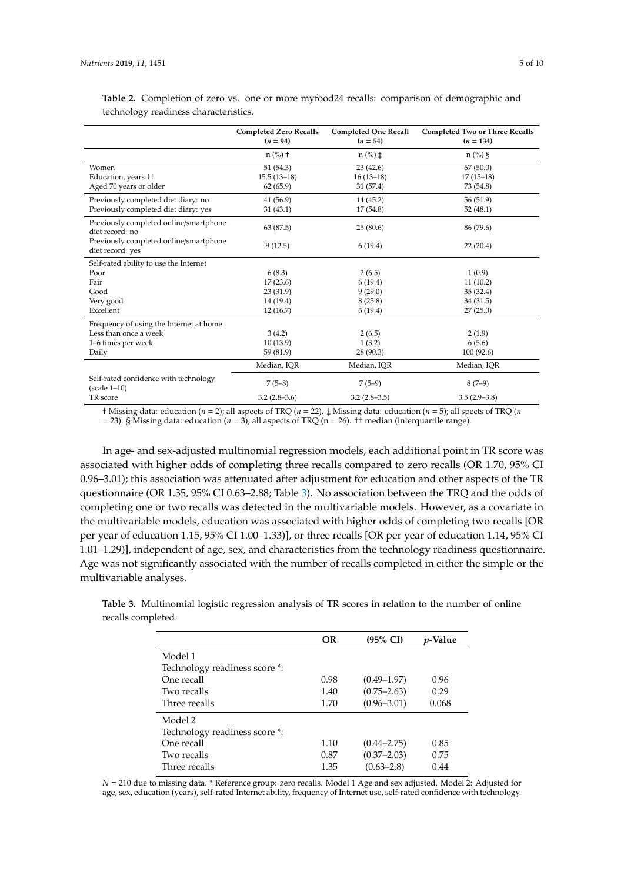|                                                            | <b>Completed Zero Recalls</b><br>$(n = 94)$ | <b>Completed One Recall</b><br>$(n = 54)$ | <b>Completed Two or Three Recalls</b><br>$(n = 134)$ |  |
|------------------------------------------------------------|---------------------------------------------|-------------------------------------------|------------------------------------------------------|--|
|                                                            | $n$ (%) +                                   | $n$ (%) $\ddagger$                        | $n$ (%) §                                            |  |
| Women                                                      | 51(54.3)                                    | 23(42.6)                                  | 67(50.0)                                             |  |
| Education, years <sup>++</sup>                             | $15.5(13-18)$                               | $16(13-18)$                               | $17(15-18)$                                          |  |
| Aged 70 years or older                                     | 62(65.9)                                    | 31 (57.4)                                 | 73 (54.8)                                            |  |
| Previously completed diet diary: no                        | 41(56.9)                                    | 14 (45.2)                                 | 56 (51.9)                                            |  |
| Previously completed diet diary: yes                       | 31(43.1)                                    | 17(54.8)                                  | 52(48.1)                                             |  |
| Previously completed online/smartphone<br>diet record: no  | 63 (87.5)                                   | 25(80.6)                                  | 86 (79.6)                                            |  |
| Previously completed online/smartphone<br>diet record: yes | 9(12.5)                                     | 6(19.4)                                   | 22(20.4)                                             |  |
| Self-rated ability to use the Internet                     |                                             |                                           |                                                      |  |
| Poor                                                       | 6(8.3)                                      | 2(6.5)                                    | 1(0.9)                                               |  |
| Fair                                                       | 17(23.6)                                    | 6(19.4)                                   | 11(10.2)                                             |  |
| Good                                                       | 23(31.9)                                    | 9(29.0)                                   | 35(32.4)                                             |  |
| Very good                                                  | 14 (19.4)                                   | 8(25.8)                                   | 34(31.5)                                             |  |
| Excellent                                                  | 12(16.7)                                    | 6(19.4)                                   | 27(25.0)                                             |  |
| Frequency of using the Internet at home                    |                                             |                                           |                                                      |  |
| Less than once a week                                      | 3(4.2)                                      | 2(6.5)                                    | 2(1.9)                                               |  |
| 1-6 times per week                                         | 10(13.9)                                    | 1(3.2)                                    | 6(5.6)                                               |  |
| Daily                                                      | 59 (81.9)                                   | 28(90.3)                                  | 100(92.6)                                            |  |
|                                                            | Median, IQR                                 | Median, IOR                               | Median, IOR                                          |  |
| Self-rated confidence with technology<br>$(scale 1-10)$    | $7(5-8)$                                    | $7(5-9)$                                  | $8(7-9)$                                             |  |
| TR score                                                   | $3.2(2.8-3.6)$                              | $3.2(2.8-3.5)$                            | $3.5(2.9-3.8)$                                       |  |

<span id="page-5-0"></span>**Table 2.** Completion of zero vs. one or more myfood24 recalls: comparison of demographic and technology readiness characteristics.

† Missing data: education (*n* = 2); all aspects of TRQ (*n* = 22). ‡ Missing data: education (*n* = 5); all spects of TRQ (*n* = 23). § Missing data: education ( $n = 3$ ); all aspects of TRQ ( $n = 26$ ).  $\overline{1}$  median (interquartile range).

In age- and sex-adjusted multinomial regression models, each additional point in TR score was associated with higher odds of completing three recalls compared to zero recalls (OR 1.70, 95% CI 0.96–3.01); this association was attenuated after adjustment for education and other aspects of the TR questionnaire (OR 1.35, 95% CI 0.63–2.88; Table [3\)](#page-5-1). No association between the TRQ and the odds of completing one or two recalls was detected in the multivariable models. However, as a covariate in the multivariable models, education was associated with higher odds of completing two recalls [OR per year of education 1.15, 95% CI 1.00–1.33)], or three recalls [OR per year of education 1.14, 95% CI 1.01–1.29)], independent of age, sex, and characteristics from the technology readiness questionnaire. Age was not significantly associated with the number of recalls completed in either the simple or the multivariable analyses.

<span id="page-5-1"></span>**Table 3.** Multinomial logistic regression analysis of TR scores in relation to the number of online recalls completed.

|                               | OR   | $(95\% \text{ CI})$ | <i>v</i> -Value |
|-------------------------------|------|---------------------|-----------------|
| Model 1                       |      |                     |                 |
| Technology readiness score *: |      |                     |                 |
| One recall                    | 0.98 | $(0.49 - 1.97)$     | 0.96            |
| Two recalls                   | 1.40 | $(0.75 - 2.63)$     | 0.29            |
| Three recalls                 | 1.70 | $(0.96 - 3.01)$     | 0.068           |
| Model 2                       |      |                     |                 |
| Technology readiness score *: |      |                     |                 |
| One recall                    | 1.10 | $(0.44 - 2.75)$     | 0.85            |
| Two recalls                   | 0.87 | $(0.37 - 2.03)$     | 0.75            |
| Three recalls                 | 1.35 | $(0.63 - 2.8)$      | 0.44            |

*N* = 210 due to missing data. \* Reference group: zero recalls. Model 1 Age and sex adjusted. Model 2: Adjusted for age, sex, education (years), self-rated Internet ability, frequency of Internet use, self-rated confidence with technology.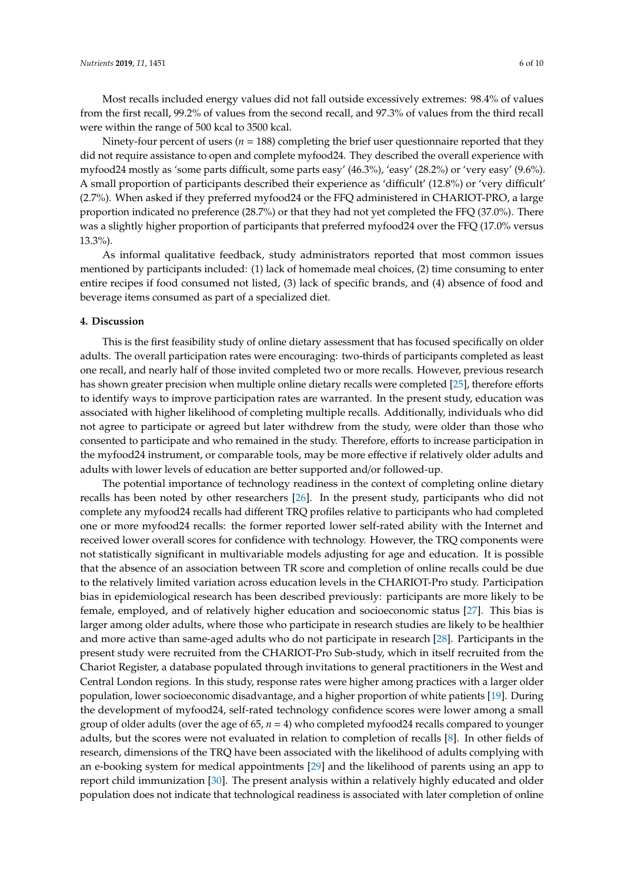Most recalls included energy values did not fall outside excessively extremes: 98.4% of values from the first recall, 99.2% of values from the second recall, and 97.3% of values from the third recall were within the range of 500 kcal to 3500 kcal.

Ninety-four percent of users (*n* = 188) completing the brief user questionnaire reported that they did not require assistance to open and complete myfood24. They described the overall experience with myfood24 mostly as 'some parts difficult, some parts easy' (46.3%), 'easy' (28.2%) or 'very easy' (9.6%). A small proportion of participants described their experience as 'difficult' (12.8%) or 'very difficult' (2.7%). When asked if they preferred myfood24 or the FFQ administered in CHARIOT-PRO, a large proportion indicated no preference (28.7%) or that they had not yet completed the FFQ (37.0%). There was a slightly higher proportion of participants that preferred myfood24 over the FFQ (17.0% versus 13.3%).

As informal qualitative feedback, study administrators reported that most common issues mentioned by participants included: (1) lack of homemade meal choices, (2) time consuming to enter entire recipes if food consumed not listed, (3) lack of specific brands, and (4) absence of food and beverage items consumed as part of a specialized diet.

#### **4. Discussion**

This is the first feasibility study of online dietary assessment that has focused specifically on older adults. The overall participation rates were encouraging: two-thirds of participants completed as least one recall, and nearly half of those invited completed two or more recalls. However, previous research has shown greater precision when multiple online dietary recalls were completed [\[25\]](#page-10-1), therefore efforts to identify ways to improve participation rates are warranted. In the present study, education was associated with higher likelihood of completing multiple recalls. Additionally, individuals who did not agree to participate or agreed but later withdrew from the study, were older than those who consented to participate and who remained in the study. Therefore, efforts to increase participation in the myfood24 instrument, or comparable tools, may be more effective if relatively older adults and adults with lower levels of education are better supported and/or followed-up.

The potential importance of technology readiness in the context of completing online dietary recalls has been noted by other researchers [\[26\]](#page-10-2). In the present study, participants who did not complete any myfood24 recalls had different TRQ profiles relative to participants who had completed one or more myfood24 recalls: the former reported lower self-rated ability with the Internet and received lower overall scores for confidence with technology. However, the TRQ components were not statistically significant in multivariable models adjusting for age and education. It is possible that the absence of an association between TR score and completion of online recalls could be due to the relatively limited variation across education levels in the CHARIOT-Pro study. Participation bias in epidemiological research has been described previously: participants are more likely to be female, employed, and of relatively higher education and socioeconomic status [\[27\]](#page-10-3). This bias is larger among older adults, where those who participate in research studies are likely to be healthier and more active than same-aged adults who do not participate in research [\[28\]](#page-10-4). Participants in the present study were recruited from the CHARIOT-Pro Sub-study, which in itself recruited from the Chariot Register, a database populated through invitations to general practitioners in the West and Central London regions. In this study, response rates were higher among practices with a larger older population, lower socioeconomic disadvantage, and a higher proportion of white patients [\[19\]](#page-9-9). During the development of myfood24, self-rated technology confidence scores were lower among a small group of older adults (over the age of 65, *n* = 4) who completed myfood24 recalls compared to younger adults, but the scores were not evaluated in relation to completion of recalls [\[8\]](#page-9-0). In other fields of research, dimensions of the TRQ have been associated with the likelihood of adults complying with an e-booking system for medical appointments [\[29\]](#page-10-5) and the likelihood of parents using an app to report child immunization [\[30\]](#page-10-6). The present analysis within a relatively highly educated and older population does not indicate that technological readiness is associated with later completion of online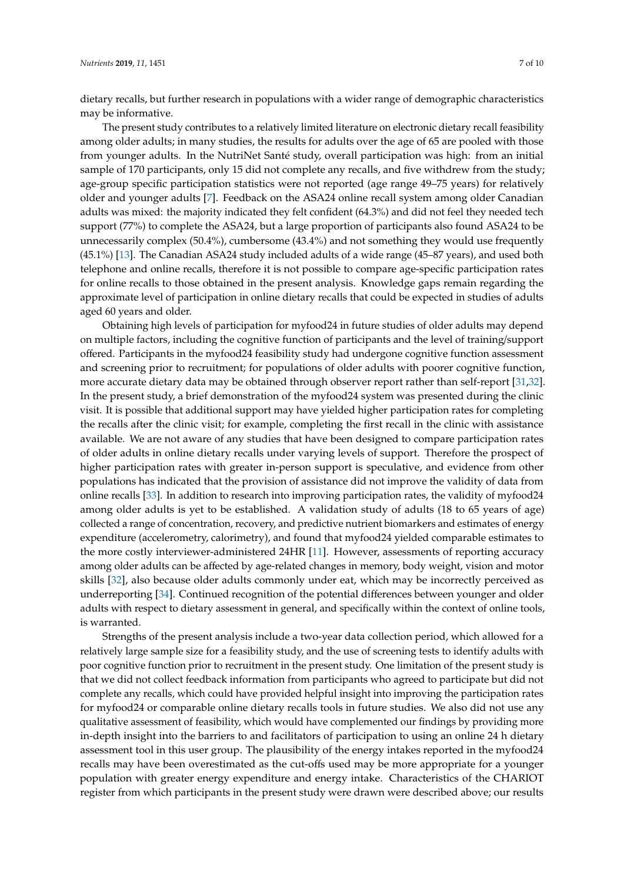dietary recalls, but further research in populations with a wider range of demographic characteristics may be informative.

The present study contributes to a relatively limited literature on electronic dietary recall feasibility among older adults; in many studies, the results for adults over the age of 65 are pooled with those from younger adults. In the NutriNet Santé study, overall participation was high: from an initial sample of 170 participants, only 15 did not complete any recalls, and five withdrew from the study; age-group specific participation statistics were not reported (age range 49–75 years) for relatively older and younger adults [\[7\]](#page-9-1). Feedback on the ASA24 online recall system among older Canadian adults was mixed: the majority indicated they felt confident (64.3%) and did not feel they needed tech support (77%) to complete the ASA24, but a large proportion of participants also found ASA24 to be unnecessarily complex (50.4%), cumbersome (43.4%) and not something they would use frequently (45.1%) [\[13\]](#page-9-5). The Canadian ASA24 study included adults of a wide range (45–87 years), and used both telephone and online recalls, therefore it is not possible to compare age-specific participation rates for online recalls to those obtained in the present analysis. Knowledge gaps remain regarding the approximate level of participation in online dietary recalls that could be expected in studies of adults aged 60 years and older.

Obtaining high levels of participation for myfood24 in future studies of older adults may depend on multiple factors, including the cognitive function of participants and the level of training/support offered. Participants in the myfood24 feasibility study had undergone cognitive function assessment and screening prior to recruitment; for populations of older adults with poorer cognitive function, more accurate dietary data may be obtained through observer report rather than self-report [\[31,](#page-10-7)[32\]](#page-10-8). In the present study, a brief demonstration of the myfood24 system was presented during the clinic visit. It is possible that additional support may have yielded higher participation rates for completing the recalls after the clinic visit; for example, completing the first recall in the clinic with assistance available. We are not aware of any studies that have been designed to compare participation rates of older adults in online dietary recalls under varying levels of support. Therefore the prospect of higher participation rates with greater in-person support is speculative, and evidence from other populations has indicated that the provision of assistance did not improve the validity of data from online recalls [\[33\]](#page-10-9). In addition to research into improving participation rates, the validity of myfood24 among older adults is yet to be established. A validation study of adults (18 to 65 years of age) collected a range of concentration, recovery, and predictive nutrient biomarkers and estimates of energy expenditure (accelerometry, calorimetry), and found that myfood24 yielded comparable estimates to the more costly interviewer-administered 24HR [\[11\]](#page-9-3). However, assessments of reporting accuracy among older adults can be affected by age-related changes in memory, body weight, vision and motor skills [\[32\]](#page-10-8), also because older adults commonly under eat, which may be incorrectly perceived as underreporting [\[34\]](#page-10-10). Continued recognition of the potential differences between younger and older adults with respect to dietary assessment in general, and specifically within the context of online tools, is warranted.

Strengths of the present analysis include a two-year data collection period, which allowed for a relatively large sample size for a feasibility study, and the use of screening tests to identify adults with poor cognitive function prior to recruitment in the present study. One limitation of the present study is that we did not collect feedback information from participants who agreed to participate but did not complete any recalls, which could have provided helpful insight into improving the participation rates for myfood24 or comparable online dietary recalls tools in future studies. We also did not use any qualitative assessment of feasibility, which would have complemented our findings by providing more in-depth insight into the barriers to and facilitators of participation to using an online 24 h dietary assessment tool in this user group. The plausibility of the energy intakes reported in the myfood24 recalls may have been overestimated as the cut-offs used may be more appropriate for a younger population with greater energy expenditure and energy intake. Characteristics of the CHARIOT register from which participants in the present study were drawn were described above; our results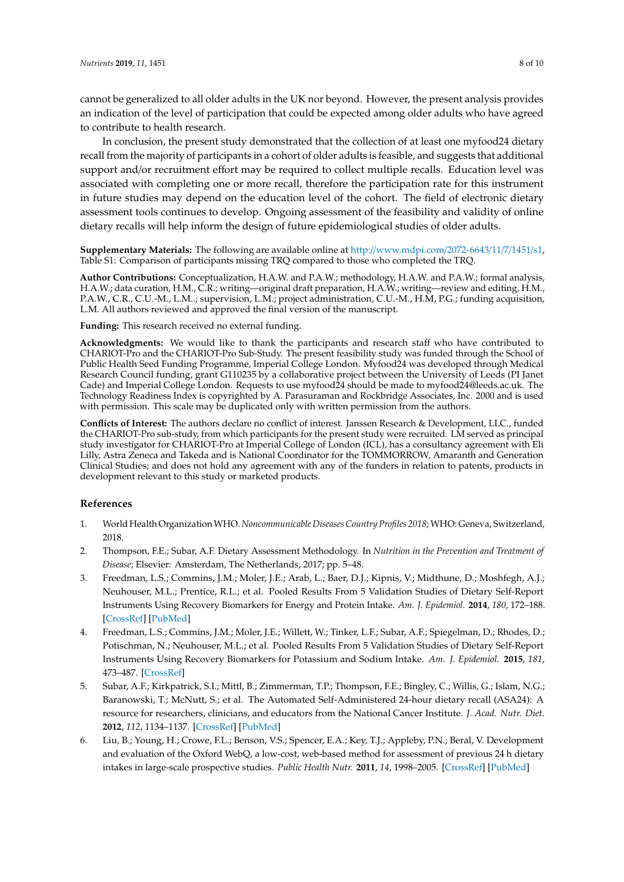In conclusion, the present study demonstrated that the collection of at least one myfood24 dietary recall from the majority of participants in a cohort of older adults is feasible, and suggests that additional support and/or recruitment effort may be required to collect multiple recalls. Education level was associated with completing one or more recall, therefore the participation rate for this instrument in future studies may depend on the education level of the cohort. The field of electronic dietary assessment tools continues to develop. Ongoing assessment of the feasibility and validity of online dietary recalls will help inform the design of future epidemiological studies of older adults.

**Supplementary Materials:** The following are available online at http://[www.mdpi.com](http://www.mdpi.com/2072-6643/11/7/1451/s1)/2072-6643/11/7/1451/s1, Table S1: Comparison of participants missing TRQ compared to those who completed the TRQ.

**Author Contributions:** Conceptualization, H.A.W. and P.A.W.; methodology, H.A.W. and P.A.W.; formal analysis, H.A.W.; data curation, H.M., C.R.; writing—original draft preparation, H.A.W.; writing—review and editing, H.M., P.A.W., C.R., C.U.-M., L.M..; supervision, L.M.; project administration, C.U.-M., H.M, P.G.; funding acquisition, L.M. All authors reviewed and approved the final version of the manuscript.

**Funding:** This research received no external funding.

**Acknowledgments:** We would like to thank the participants and research staff who have contributed to CHARIOT-Pro and the CHARIOT-Pro Sub-Study. The present feasibility study was funded through the School of Public Health Seed Funding Programme, Imperial College London. Myfood24 was developed through Medical Research Council funding, grant G110235 by a collaborative project between the University of Leeds (PI Janet Cade) and Imperial College London. Requests to use myfood24 should be made to myfood24@leeds.ac.uk. The Technology Readiness Index is copyrighted by A. Parasuraman and Rockbridge Associates, Inc. 2000 and is used with permission. This scale may be duplicated only with written permission from the authors.

**Conflicts of Interest:** The authors declare no conflict of interest. Janssen Research & Development, LLC., funded the CHARIOT-Pro sub-study, from which participants for the present study were recruited. LM served as principal study investigator for CHARIOT-Pro at Imperial College of London (ICL), has a consultancy agreement with Eli Lilly, Astra Zeneca and Takeda and is National Coordinator for the TOMMORROW, Amaranth and Generation Clinical Studies; and does not hold any agreement with any of the funders in relation to patents, products in development relevant to this study or marketed products.

#### **References**

- <span id="page-8-0"></span>1. World Health OrganizationWHO.*Noncommunicable Diseases Country Profiles 2018*; WHO: Geneva, Switzerland, 2018.
- <span id="page-8-1"></span>2. Thompson, F.E.; Subar, A.F. Dietary Assessment Methodology. In *Nutrition in the Prevention and Treatment of Disease*; Elsevier: Amsterdam, The Netherlands, 2017; pp. 5–48.
- <span id="page-8-2"></span>3. Freedman, L.S.; Commins, J.M.; Moler, J.E.; Arab, L.; Baer, D.J.; Kipnis, V.; Midthune, D.; Moshfegh, A.J.; Neuhouser, M.L.; Prentice, R.L.; et al. Pooled Results From 5 Validation Studies of Dietary Self-Report Instruments Using Recovery Biomarkers for Energy and Protein Intake. *Am. J. Epidemiol.* **2014**, *180*, 172–188. [\[CrossRef\]](http://dx.doi.org/10.1093/aje/kwu116) [\[PubMed\]](http://www.ncbi.nlm.nih.gov/pubmed/24918187)
- <span id="page-8-3"></span>4. Freedman, L.S.; Commins, J.M.; Moler, J.E.; Willett, W.; Tinker, L.F.; Subar, A.F.; Spiegelman, D.; Rhodes, D.; Potischman, N.; Neuhouser, M.L.; et al. Pooled Results From 5 Validation Studies of Dietary Self-Report Instruments Using Recovery Biomarkers for Potassium and Sodium Intake. *Am. J. Epidemiol.* **2015**, *181*, 473–487. [\[CrossRef\]](http://dx.doi.org/10.1093/aje/kwu325)
- <span id="page-8-4"></span>5. Subar, A.F.; Kirkpatrick, S.I.; Mittl, B.; Zimmerman, T.P.; Thompson, F.E.; Bingley, C.; Willis, G.; Islam, N.G.; Baranowski, T.; McNutt, S.; et al. The Automated Self-Administered 24-hour dietary recall (ASA24): A resource for researchers, clinicians, and educators from the National Cancer Institute. *J. Acad. Nutr. Diet.* **2012**, *112*, 1134–1137. [\[CrossRef\]](http://dx.doi.org/10.1016/j.jand.2012.04.016) [\[PubMed\]](http://www.ncbi.nlm.nih.gov/pubmed/22704899)
- 6. Liu, B.; Young, H.; Crowe, F.L.; Benson, V.S.; Spencer, E.A.; Key, T.J.; Appleby, P.N.; Beral, V. Development and evaluation of the Oxford WebQ, a low-cost, web-based method for assessment of previous 24 h dietary intakes in large-scale prospective studies. *Public Health Nutr.* **2011**, *14*, 1998–2005. [\[CrossRef\]](http://dx.doi.org/10.1017/S1368980011000942) [\[PubMed\]](http://www.ncbi.nlm.nih.gov/pubmed/21729481)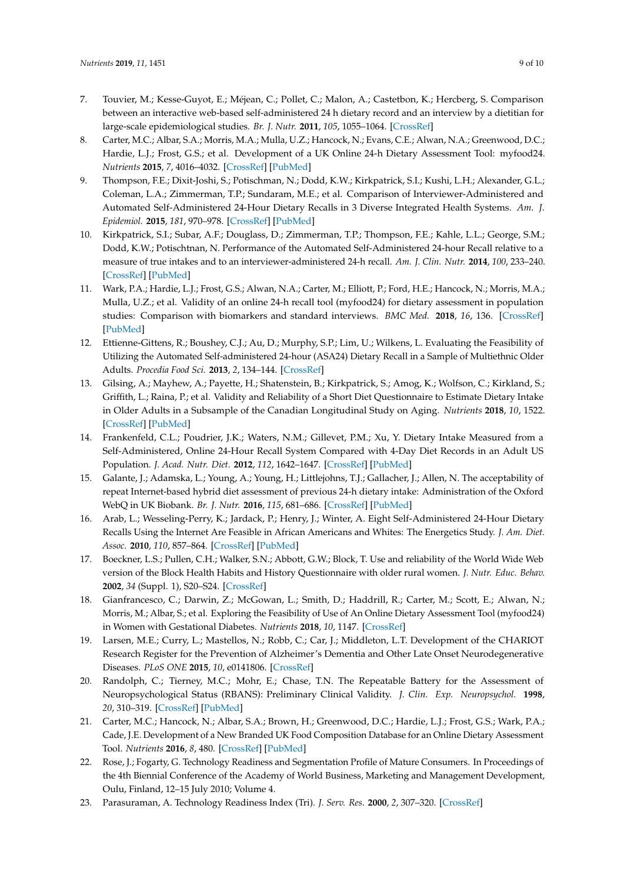- <span id="page-9-1"></span>7. Touvier, M.; Kesse-Guyot, E.; Méjean, C.; Pollet, C.; Malon, A.; Castetbon, K.; Hercberg, S. Comparison between an interactive web-based self-administered 24 h dietary record and an interview by a dietitian for large-scale epidemiological studies. *Br. J. Nutr.* **2011**, *105*, 1055–1064. [\[CrossRef\]](http://dx.doi.org/10.1017/S0007114510004617)
- <span id="page-9-0"></span>8. Carter, M.C.; Albar, S.A.; Morris, M.A.; Mulla, U.Z.; Hancock, N.; Evans, C.E.; Alwan, N.A.; Greenwood, D.C.; Hardie, L.J.; Frost, G.S.; et al. Development of a UK Online 24-h Dietary Assessment Tool: myfood24. *Nutrients* **2015**, *7*, 4016–4032. [\[CrossRef\]](http://dx.doi.org/10.3390/nu7064016) [\[PubMed\]](http://www.ncbi.nlm.nih.gov/pubmed/26024292)
- <span id="page-9-2"></span>9. Thompson, F.E.; Dixit-Joshi, S.; Potischman, N.; Dodd, K.W.; Kirkpatrick, S.I.; Kushi, L.H.; Alexander, G.L.; Coleman, L.A.; Zimmerman, T.P.; Sundaram, M.E.; et al. Comparison of Interviewer-Administered and Automated Self-Administered 24-Hour Dietary Recalls in 3 Diverse Integrated Health Systems. *Am. J. Epidemiol.* **2015**, *181*, 970–978. [\[CrossRef\]](http://dx.doi.org/10.1093/aje/kwu467) [\[PubMed\]](http://www.ncbi.nlm.nih.gov/pubmed/25964261)
- 10. Kirkpatrick, S.I.; Subar, A.F.; Douglass, D.; Zimmerman, T.P.; Thompson, F.E.; Kahle, L.L.; George, S.M.; Dodd, K.W.; Potischtnan, N. Performance of the Automated Self-Administered 24-hour Recall relative to a measure of true intakes and to an interviewer-administered 24-h recall. *Am. J. Clin. Nutr.* **2014**, *100*, 233–240. [\[CrossRef\]](http://dx.doi.org/10.3945/ajcn.114.083238) [\[PubMed\]](http://www.ncbi.nlm.nih.gov/pubmed/24787491)
- <span id="page-9-3"></span>11. Wark, P.A.; Hardie, L.J.; Frost, G.S.; Alwan, N.A.; Carter, M.; Elliott, P.; Ford, H.E.; Hancock, N.; Morris, M.A.; Mulla, U.Z.; et al. Validity of an online 24-h recall tool (myfood24) for dietary assessment in population studies: Comparison with biomarkers and standard interviews. *BMC Med.* **2018**, *16*, 136. [\[CrossRef\]](http://dx.doi.org/10.1186/s12916-018-1113-8) [\[PubMed\]](http://www.ncbi.nlm.nih.gov/pubmed/30089491)
- <span id="page-9-4"></span>12. Ettienne-Gittens, R.; Boushey, C.J.; Au, D.; Murphy, S.P.; Lim, U.; Wilkens, L. Evaluating the Feasibility of Utilizing the Automated Self-administered 24-hour (ASA24) Dietary Recall in a Sample of Multiethnic Older Adults. *Procedia Food Sci.* **2013**, *2*, 134–144. [\[CrossRef\]](http://dx.doi.org/10.1016/j.profoo.2013.04.021)
- <span id="page-9-5"></span>13. Gilsing, A.; Mayhew, A.; Payette, H.; Shatenstein, B.; Kirkpatrick, S.; Amog, K.; Wolfson, C.; Kirkland, S.; Griffith, L.; Raina, P.; et al. Validity and Reliability of a Short Diet Questionnaire to Estimate Dietary Intake in Older Adults in a Subsample of the Canadian Longitudinal Study on Aging. *Nutrients* **2018**, *10*, 1522. [\[CrossRef\]](http://dx.doi.org/10.3390/nu10101522) [\[PubMed\]](http://www.ncbi.nlm.nih.gov/pubmed/30336568)
- <span id="page-9-6"></span>14. Frankenfeld, C.L.; Poudrier, J.K.; Waters, N.M.; Gillevet, P.M.; Xu, Y. Dietary Intake Measured from a Self-Administered, Online 24-Hour Recall System Compared with 4-Day Diet Records in an Adult US Population. *J. Acad. Nutr. Diet.* **2012**, *112*, 1642–1647. [\[CrossRef\]](http://dx.doi.org/10.1016/j.jand.2012.06.003) [\[PubMed\]](http://www.ncbi.nlm.nih.gov/pubmed/22878341)
- 15. Galante, J.; Adamska, L.; Young, A.; Young, H.; Littlejohns, T.J.; Gallacher, J.; Allen, N. The acceptability of repeat Internet-based hybrid diet assessment of previous 24-h dietary intake: Administration of the Oxford WebQ in UK Biobank. *Br. J. Nutr.* **2016**, *115*, 681–686. [\[CrossRef\]](http://dx.doi.org/10.1017/S0007114515004821) [\[PubMed\]](http://www.ncbi.nlm.nih.gov/pubmed/26652593)
- 16. Arab, L.; Wesseling-Perry, K.; Jardack, P.; Henry, J.; Winter, A. Eight Self-Administered 24-Hour Dietary Recalls Using the Internet Are Feasible in African Americans and Whites: The Energetics Study. *J. Am. Diet. Assoc.* **2010**, *110*, 857–864. [\[CrossRef\]](http://dx.doi.org/10.1016/j.jada.2010.03.024) [\[PubMed\]](http://www.ncbi.nlm.nih.gov/pubmed/20497774)
- <span id="page-9-7"></span>17. Boeckner, L.S.; Pullen, C.H.; Walker, S.N.; Abbott, G.W.; Block, T. Use and reliability of the World Wide Web version of the Block Health Habits and History Questionnaire with older rural women. *J. Nutr. Educ. Behav.* **2002**, *34* (Suppl. 1), S20–S24. [\[CrossRef\]](http://dx.doi.org/10.1016/S1499-4046(06)60307-2)
- <span id="page-9-8"></span>18. Gianfrancesco, C.; Darwin, Z.; McGowan, L.; Smith, D.; Haddrill, R.; Carter, M.; Scott, E.; Alwan, N.; Morris, M.; Albar, S.; et al. Exploring the Feasibility of Use of An Online Dietary Assessment Tool (myfood24) in Women with Gestational Diabetes. *Nutrients* **2018**, *10*, 1147. [\[CrossRef\]](http://dx.doi.org/10.3390/nu10091147)
- <span id="page-9-9"></span>19. Larsen, M.E.; Curry, L.; Mastellos, N.; Robb, C.; Car, J.; Middleton, L.T. Development of the CHARIOT Research Register for the Prevention of Alzheimer's Dementia and Other Late Onset Neurodegenerative Diseases. *PLoS ONE* **2015**, *10*, e0141806. [\[CrossRef\]](http://dx.doi.org/10.1371/journal.pone.0141806)
- <span id="page-9-10"></span>20. Randolph, C.; Tierney, M.C.; Mohr, E.; Chase, T.N. The Repeatable Battery for the Assessment of Neuropsychological Status (RBANS): Preliminary Clinical Validity. *J. Clin. Exp. Neuropsychol.* **1998**, *20*, 310–319. [\[CrossRef\]](http://dx.doi.org/10.1076/jcen.20.3.310.823) [\[PubMed\]](http://www.ncbi.nlm.nih.gov/pubmed/9845158)
- <span id="page-9-11"></span>21. Carter, M.C.; Hancock, N.; Albar, S.A.; Brown, H.; Greenwood, D.C.; Hardie, L.J.; Frost, G.S.; Wark, P.A.; Cade, J.E. Development of a New Branded UK Food Composition Database for an Online Dietary Assessment Tool. *Nutrients* **2016**, *8*, 480. [\[CrossRef\]](http://dx.doi.org/10.3390/nu8080480) [\[PubMed\]](http://www.ncbi.nlm.nih.gov/pubmed/27527214)
- <span id="page-9-12"></span>22. Rose, J.; Fogarty, G. Technology Readiness and Segmentation Profile of Mature Consumers. In Proceedings of the 4th Biennial Conference of the Academy of World Business, Marketing and Management Development, Oulu, Finland, 12–15 July 2010; Volume 4.
- <span id="page-9-13"></span>23. Parasuraman, A. Technology Readiness Index (Tri). *J. Serv. Res.* **2000**, *2*, 307–320. [\[CrossRef\]](http://dx.doi.org/10.1177/109467050024001)